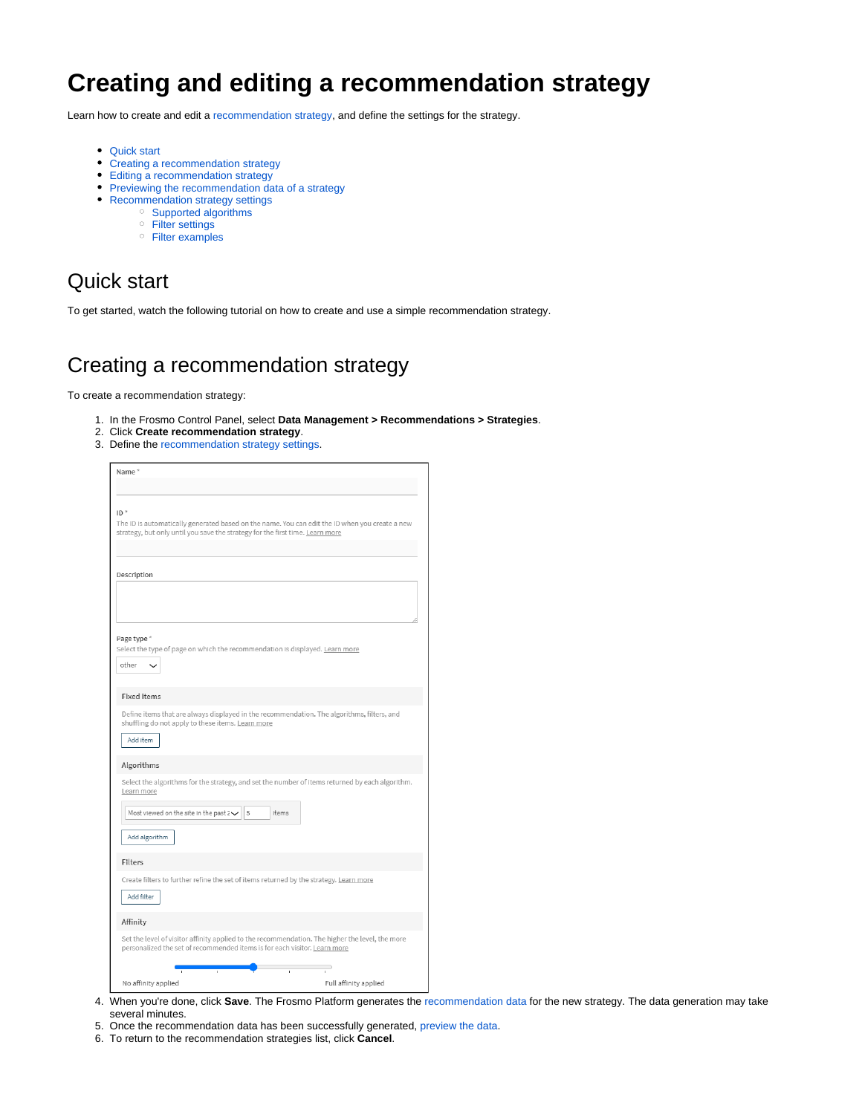# **Creating and editing a recommendation strategy**

Learn how to create and edit a [recommendation strategy](https://docs.frosmo.com/display/platform/Feature%3A+Recommendation+strategy), and define the settings for the strategy.

- [Quick start](#page-0-0)
- [Creating a recommendation strategy](#page-0-1)
- [Editing a recommendation strategy](#page-1-0)
- [Previewing the recommendation data of a strategy](#page-1-1)
- [Recommendation strategy settings](#page-2-0)
	- [Supported algorithms](#page-8-0)
		- [Filter settings](#page-9-0)
		- [Filter examples](#page-11-0)

# <span id="page-0-0"></span>Quick start

To get started, watch the following tutorial on how to create and use a simple recommendation strategy.

# <span id="page-0-1"></span>Creating a recommendation strategy

To create a recommendation strategy:

- 1. In the Frosmo Control Panel, select **Data Management > Recommendations > Strategies**.
- 2. Click **Create recommendation strategy**.
- 3. Define the [recommendation strategy settings.](#page-2-0)

| Name*                                                                                                |                                                                                                          |
|------------------------------------------------------------------------------------------------------|----------------------------------------------------------------------------------------------------------|
|                                                                                                      |                                                                                                          |
| $ID^*$<br>strategy, but only until you save the strategy for the first time. Learn more              | The ID is automatically generated based on the name. You can edit the ID when you create a new           |
| Description                                                                                          |                                                                                                          |
|                                                                                                      |                                                                                                          |
| Page type *<br>Select the type of page on which the recommendation is displayed. Learn more<br>other |                                                                                                          |
| <b>Fixed items</b>                                                                                   |                                                                                                          |
| shuffling do not apply to these items. Learn more<br>Add item                                        | Define items that are always displayed in the recommendation. The algorithms, filters, and               |
| Algorithms                                                                                           |                                                                                                          |
| Learn more<br>Most viewed on the site in the past $2\vee$<br>5<br>Add algorithm                      | Select the algorithms for the strategy, and set the number of items returned by each algorithm.<br>items |
| <b>Filters</b>                                                                                       |                                                                                                          |
| Create filters to further refine the set of items returned by the strategy. Learn more<br>Add filter |                                                                                                          |
| Affinity                                                                                             |                                                                                                          |
| personalized the set of recommended items is for each visitor. Learn more                            | Set the level of visitor affinity applied to the recommendation. The higher the level, the more          |
| No affinity applied                                                                                  | Full affinity applied                                                                                    |

- 4. When you're done, click **Save**. The Frosmo Platform generates the [recommendation data](https://docs.frosmo.com/display/platform/Glossary#Glossary-reco_data) for the new strategy. The data generation may take several minutes.
- 5. Once the recommendation data has been successfully generated, [preview the data.](#page-1-1)
- 6. To return to the recommendation strategies list, click **Cancel**.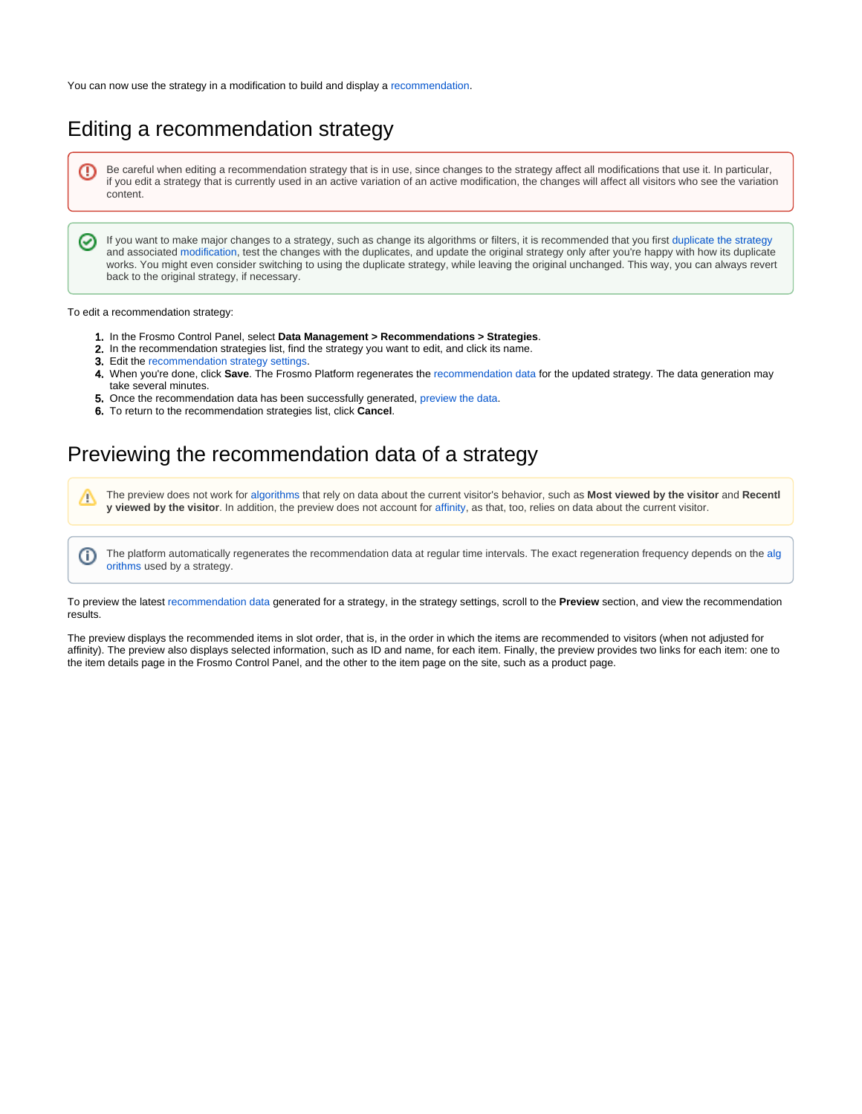You can now use the strategy in a modification to build and display a [recommendation.](https://docs.frosmo.com/display/platform/Feature%3A+Recommendation)

# <span id="page-1-0"></span>Editing a recommendation strategy

Be careful when editing a recommendation strategy that is in use, since changes to the strategy affect all modifications that use it. In particular, 0 if you edit a strategy that is currently used in an active variation of an active modification, the changes will affect all visitors who see the variation content.

If you want to make major changes to a strategy, such as change its algorithms or filters, it is recommended that you first [duplicate the strategy](https://docs.frosmo.com/display/ui/Duplicating+a+recommendation+strategy) and associated [modification](https://docs.frosmo.com/display/ui/Duplicating+a+modification), test the changes with the duplicates, and update the original strategy only after you're happy with how its duplicate works. You might even consider switching to using the duplicate strategy, while leaving the original unchanged. This way, you can always revert back to the original strategy, if necessary.

#### To edit a recommendation strategy:

の

O)

- 1. In the Frosmo Control Panel, select **Data Management > Recommendations > Strategies**.
- 2. In the recommendation strategies list, find the strategy you want to edit, and click its name.
- 3. Edit the [recommendation strategy settings](#page-2-0).
- 4. When you're done, click **Save**. The Frosmo Platform regenerates the [recommendation data](https://docs.frosmo.com/display/platform/Glossary#Glossary-reco_data) for the updated strategy. The data generation may take several minutes.
- **5.** Once the recommendation data has been successfully generated, [preview the data.](#page-1-1)
- 6. To return to the recommendation strategies list, click **Cancel**.

# <span id="page-1-1"></span>Previewing the recommendation data of a strategy

The preview does not work for [algorithms](#page-4-0) that rely on data about the current visitor's behavior, such as **Most viewed by the visitor** and **Recentl** Μ **y viewed by the visitor**. In addition, the preview does not account for [affinity,](#page-6-0) as that, too, relies on data about the current visitor.

The platform automatically regenerates the recommendation data at regular time intervals. The exact regeneration frequency depends on the [alg](#page-4-0) [orithms](#page-4-0) used by a strategy.

To preview the latest [recommendation data](https://docs.frosmo.com/display/platform/Glossary#Glossary-reco_data) generated for a strategy, in the strategy settings, scroll to the **Preview** section, and view the recommendation results.

The preview displays the recommended items in slot order, that is, in the order in which the items are recommended to visitors (when not adjusted for affinity). The preview also displays selected information, such as ID and name, for each item. Finally, the preview provides two links for each item: one to the item details page in the Frosmo Control Panel, and the other to the item page on the site, such as a product page.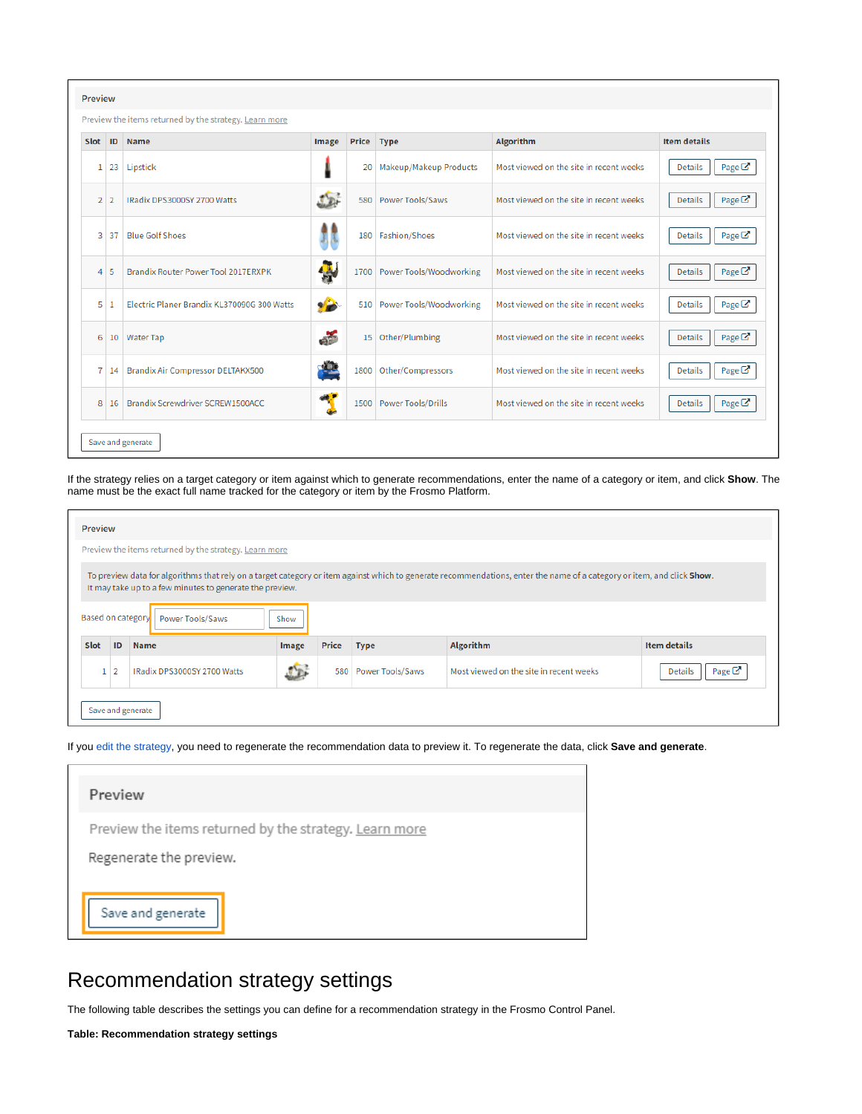| <b>Preview</b>                                                                                     |                   |                                             |               |      |                             |                                         |                                     |
|----------------------------------------------------------------------------------------------------|-------------------|---------------------------------------------|---------------|------|-----------------------------|-----------------------------------------|-------------------------------------|
| Preview the items returned by the strategy. Learn more                                             |                   |                                             |               |      |                             |                                         |                                     |
| <b>Algorithm</b><br><b>Item details</b><br>ID<br><b>Name</b><br>Price Type<br><b>Slot</b><br>Image |                   |                                             |               |      |                             |                                         |                                     |
|                                                                                                    | $1 \overline{23}$ | Lipstick                                    |               |      | 20 Makeup/Makeup Products   | Most viewed on the site in recent weeks | Page $\mathbb{Z}$<br><b>Details</b> |
|                                                                                                    | 2 2               | IRadix DPS3000SY 2700 Watts                 |               | 580  | Power Tools/Saws            | Most viewed on the site in recent weeks | Page $\mathbb{Z}$<br><b>Details</b> |
|                                                                                                    | 3 37              | <b>Blue Golf Shoes</b>                      |               |      | 180 Fashion/Shoes           | Most viewed on the site in recent weeks | Page $\mathbb{Z}^n$<br>Details      |
|                                                                                                    | $4 \overline{5}$  | Brandix Router Power Tool 2017ERXPK         | $\frac{1}{2}$ | 1700 | Power Tools/Woodworking     | Most viewed on the site in recent weeks | <b>Details</b><br>Page $\mathbb{Z}$ |
| 5 <sup>1</sup>                                                                                     |                   | Electric Planer Brandix KL370090G 300 Watts |               |      | 510 Power Tools/Woodworking | Most viewed on the site in recent weeks | Page $\mathbb{Z}$<br><b>Details</b> |
| 6.                                                                                                 |                   | 10 Water Tap                                | em            | 15   | Other/Plumbing              | Most viewed on the site in recent weeks | Page $\mathbb{Z}$<br><b>Details</b> |
|                                                                                                    | $7 \mid 14 \mid$  | <b>Brandix Air Compressor DELTAKX500</b>    |               | 1800 | Other/Compressors           | Most viewed on the site in recent weeks | Page $\mathbb{Z}$<br><b>Details</b> |
| 8 <sup>1</sup>                                                                                     | 16                | Brandix Screwdriver SCREW1500ACC            |               | 1500 | Power Tools/Drills          | Most viewed on the site in recent weeks | Page $\mathbb{Z}$<br><b>Details</b> |
|                                                                                                    |                   | Save and generate                           |               |      |                             |                                         |                                     |

If the strategy relies on a target category or item against which to generate recommendations, enter the name of a category or item, and click **Show**. The name must be the exact full name tracked for the category or item by the Frosmo Platform.

| <b>Preview</b>                                                                                                                                                                                                                                                                             |    |                             |            |              |                  |                                         |                                     |  |
|--------------------------------------------------------------------------------------------------------------------------------------------------------------------------------------------------------------------------------------------------------------------------------------------|----|-----------------------------|------------|--------------|------------------|-----------------------------------------|-------------------------------------|--|
| Preview the items returned by the strategy. Learn more                                                                                                                                                                                                                                     |    |                             |            |              |                  |                                         |                                     |  |
| To preview data for algorithms that rely on a target category or item against which to generate recommendations, enter the name of a category or item, and click Show.<br>It may take up to a few minutes to generate the preview.<br><b>Based on category</b><br>Power Tools/Saws<br>Show |    |                             |            |              |                  |                                         |                                     |  |
| Slot                                                                                                                                                                                                                                                                                       | ID | <b>Name</b>                 | Image      | <b>Price</b> | <b>Type</b>      | <b>Algorithm</b>                        | <b>Item details</b>                 |  |
|                                                                                                                                                                                                                                                                                            |    | IRadix DPS3000SY 2700 Watts | $\sqrt{2}$ | 580          | Power Tools/Saws | Most viewed on the site in recent weeks | Page $\mathbb{Z}$<br><b>Details</b> |  |
| Save and generate                                                                                                                                                                                                                                                                          |    |                             |            |              |                  |                                         |                                     |  |

If you [edit the strategy,](#page-1-0) you need to regenerate the recommendation data to preview it. To regenerate the data, click **Save and generate**.

| Preview                                                |
|--------------------------------------------------------|
| Preview the items returned by the strategy. Learn more |
| Regenerate the preview.                                |
|                                                        |
| Save and generate                                      |

# <span id="page-2-0"></span>Recommendation strategy settings

The following table describes the settings you can define for a recommendation strategy in the Frosmo Control Panel.

**Table: Recommendation strategy settings**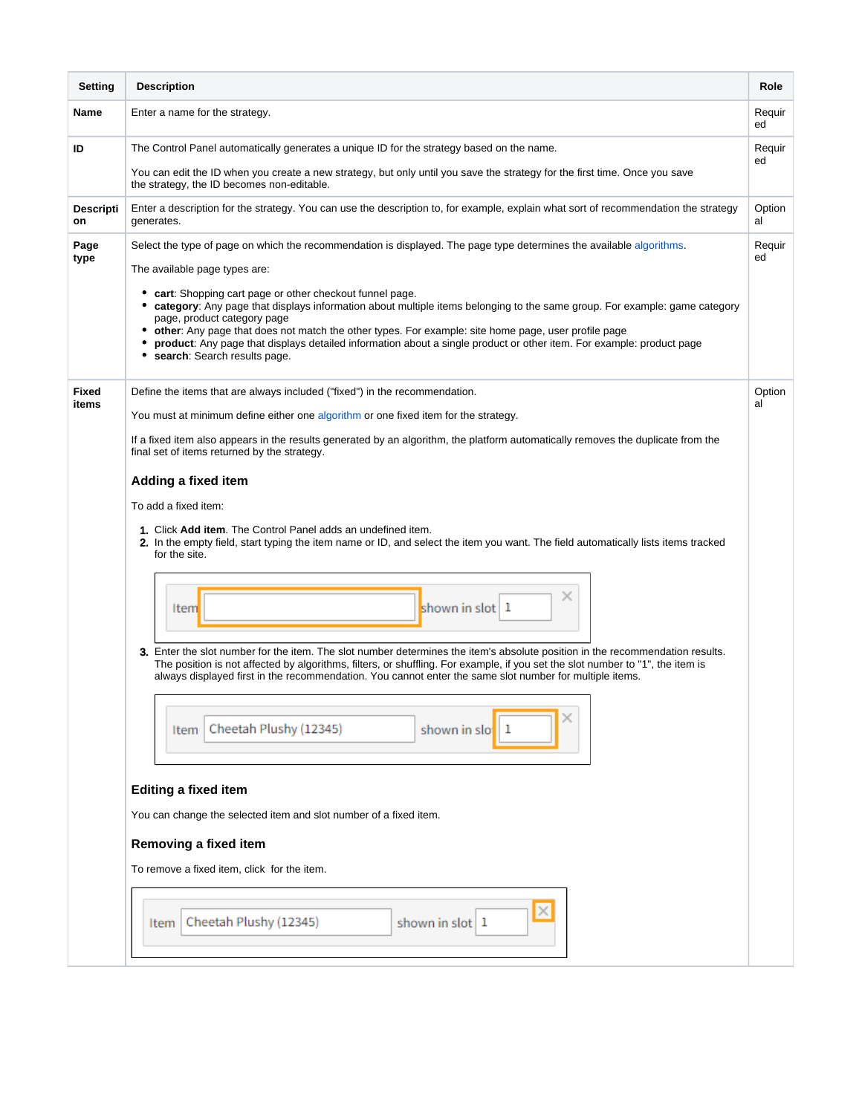<span id="page-3-1"></span><span id="page-3-0"></span>

| <b>Setting</b>         | <b>Description</b>                                                                                                                                                                                                                                                                                                                                                                                                                                                                              | Role         |  |  |  |  |  |
|------------------------|-------------------------------------------------------------------------------------------------------------------------------------------------------------------------------------------------------------------------------------------------------------------------------------------------------------------------------------------------------------------------------------------------------------------------------------------------------------------------------------------------|--------------|--|--|--|--|--|
| Name                   | Enter a name for the strategy.                                                                                                                                                                                                                                                                                                                                                                                                                                                                  | Requir<br>ed |  |  |  |  |  |
| ID                     | The Control Panel automatically generates a unique ID for the strategy based on the name.                                                                                                                                                                                                                                                                                                                                                                                                       | Requir<br>ed |  |  |  |  |  |
|                        | You can edit the ID when you create a new strategy, but only until you save the strategy for the first time. Once you save<br>the strategy, the ID becomes non-editable.                                                                                                                                                                                                                                                                                                                        |              |  |  |  |  |  |
| <b>Descripti</b><br>on | Enter a description for the strategy. You can use the description to, for example, explain what sort of recommendation the strategy<br>generates.                                                                                                                                                                                                                                                                                                                                               | Option<br>al |  |  |  |  |  |
| Page<br>type           | Select the type of page on which the recommendation is displayed. The page type determines the available algorithms.                                                                                                                                                                                                                                                                                                                                                                            | Requir<br>ed |  |  |  |  |  |
|                        | The available page types are:                                                                                                                                                                                                                                                                                                                                                                                                                                                                   |              |  |  |  |  |  |
|                        | • cart: Shopping cart page or other checkout funnel page.<br>• category: Any page that displays information about multiple items belonging to the same group. For example: game category<br>page, product category page<br>• other: Any page that does not match the other types. For example: site home page, user profile page<br>product: Any page that displays detailed information about a single product or other item. For example: product page<br>٠<br>• search: Search results page. |              |  |  |  |  |  |
| Fixed                  | Define the items that are always included ("fixed") in the recommendation.                                                                                                                                                                                                                                                                                                                                                                                                                      | Option       |  |  |  |  |  |
| items                  | You must at minimum define either one algorithm or one fixed item for the strategy.                                                                                                                                                                                                                                                                                                                                                                                                             | al           |  |  |  |  |  |
|                        | If a fixed item also appears in the results generated by an algorithm, the platform automatically removes the duplicate from the<br>final set of items returned by the strategy.                                                                                                                                                                                                                                                                                                                |              |  |  |  |  |  |
|                        | Adding a fixed item                                                                                                                                                                                                                                                                                                                                                                                                                                                                             |              |  |  |  |  |  |
|                        | To add a fixed item:                                                                                                                                                                                                                                                                                                                                                                                                                                                                            |              |  |  |  |  |  |
|                        | 1. Click Add item. The Control Panel adds an undefined item.                                                                                                                                                                                                                                                                                                                                                                                                                                    |              |  |  |  |  |  |
|                        | 2. In the empty field, start typing the item name or ID, and select the item you want. The field automatically lists items tracked<br>for the site.                                                                                                                                                                                                                                                                                                                                             |              |  |  |  |  |  |
|                        |                                                                                                                                                                                                                                                                                                                                                                                                                                                                                                 |              |  |  |  |  |  |
|                        | ×<br>shown in slot 1<br>Item                                                                                                                                                                                                                                                                                                                                                                                                                                                                    |              |  |  |  |  |  |
|                        |                                                                                                                                                                                                                                                                                                                                                                                                                                                                                                 |              |  |  |  |  |  |
|                        | 3. Enter the slot number for the item. The slot number determines the item's absolute position in the recommendation results.<br>The position is not affected by algorithms, filters, or shuffling. For example, if you set the slot number to "1", the item is<br>always displayed first in the recommendation. You cannot enter the same slot number for multiple items.                                                                                                                      |              |  |  |  |  |  |
|                        | Cheetah Plushy (12345)<br>shown in slo<br>1<br>Item                                                                                                                                                                                                                                                                                                                                                                                                                                             |              |  |  |  |  |  |
|                        |                                                                                                                                                                                                                                                                                                                                                                                                                                                                                                 |              |  |  |  |  |  |
|                        | <b>Editing a fixed item</b>                                                                                                                                                                                                                                                                                                                                                                                                                                                                     |              |  |  |  |  |  |
|                        | You can change the selected item and slot number of a fixed item.                                                                                                                                                                                                                                                                                                                                                                                                                               |              |  |  |  |  |  |
|                        | Removing a fixed item                                                                                                                                                                                                                                                                                                                                                                                                                                                                           |              |  |  |  |  |  |
|                        | To remove a fixed item, click for the item.                                                                                                                                                                                                                                                                                                                                                                                                                                                     |              |  |  |  |  |  |
|                        |                                                                                                                                                                                                                                                                                                                                                                                                                                                                                                 |              |  |  |  |  |  |
|                        | $\times$<br>Cheetah Plushy (12345)<br>shown in slot 1<br>Item                                                                                                                                                                                                                                                                                                                                                                                                                                   |              |  |  |  |  |  |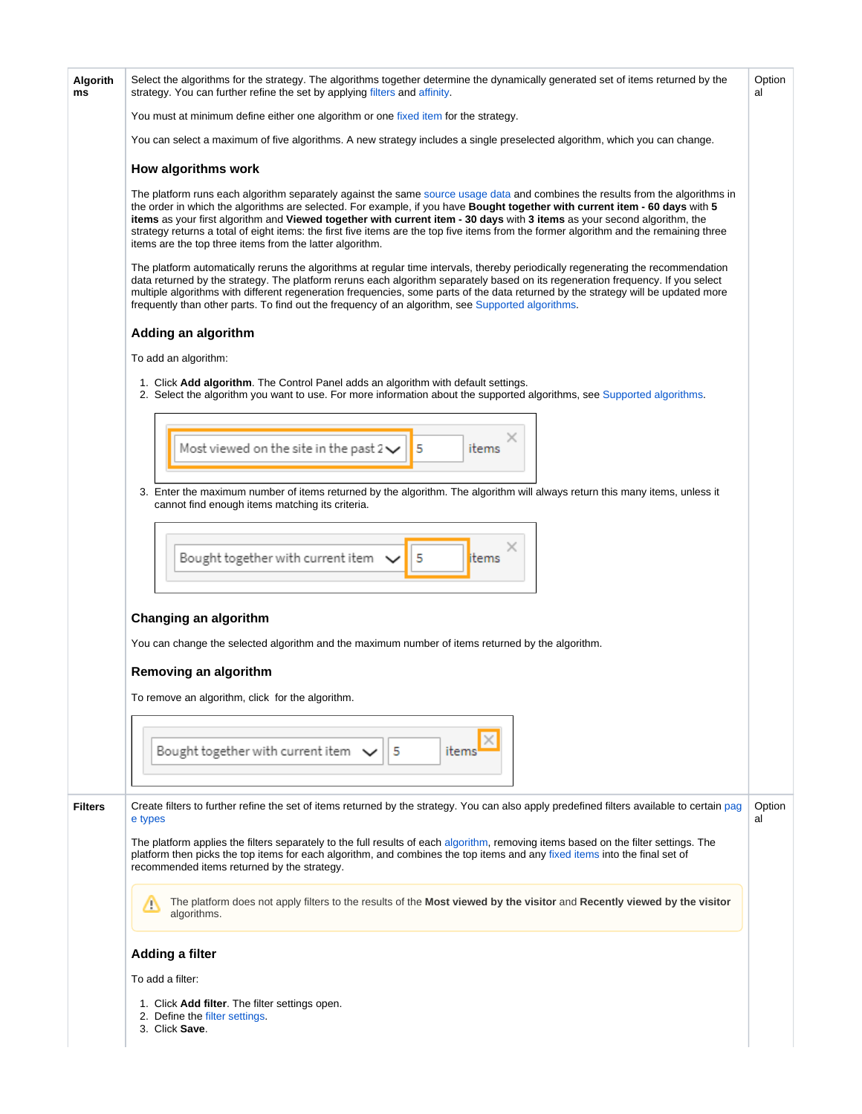<span id="page-4-1"></span><span id="page-4-0"></span>

| Algorith<br>ms | Select the algorithms for the strategy. The algorithms together determine the dynamically generated set of items returned by the<br>strategy. You can further refine the set by applying filters and affinity.                                                                                                                                                                                                                                                                                                                                                                                  | Option<br>al |  |  |  |  |
|----------------|-------------------------------------------------------------------------------------------------------------------------------------------------------------------------------------------------------------------------------------------------------------------------------------------------------------------------------------------------------------------------------------------------------------------------------------------------------------------------------------------------------------------------------------------------------------------------------------------------|--------------|--|--|--|--|
|                | You must at minimum define either one algorithm or one fixed item for the strategy.                                                                                                                                                                                                                                                                                                                                                                                                                                                                                                             |              |  |  |  |  |
|                | You can select a maximum of five algorithms. A new strategy includes a single preselected algorithm, which you can change.                                                                                                                                                                                                                                                                                                                                                                                                                                                                      |              |  |  |  |  |
|                | How algorithms work                                                                                                                                                                                                                                                                                                                                                                                                                                                                                                                                                                             |              |  |  |  |  |
|                | The platform runs each algorithm separately against the same source usage data and combines the results from the algorithms in<br>the order in which the algorithms are selected. For example, if you have Bought together with current item - 60 days with 5<br>items as your first algorithm and Viewed together with current item - 30 days with 3 items as your second algorithm, the<br>strategy returns a total of eight items: the first five items are the top five items from the former algorithm and the remaining three<br>items are the top three items from the latter algorithm. |              |  |  |  |  |
|                | The platform automatically reruns the algorithms at regular time intervals, thereby periodically regenerating the recommendation<br>data returned by the strategy. The platform reruns each algorithm separately based on its regeneration frequency. If you select<br>multiple algorithms with different regeneration frequencies, some parts of the data returned by the strategy will be updated more<br>frequently than other parts. To find out the frequency of an algorithm, see Supported algorithms.                                                                                   |              |  |  |  |  |
|                | Adding an algorithm                                                                                                                                                                                                                                                                                                                                                                                                                                                                                                                                                                             |              |  |  |  |  |
|                | To add an algorithm:                                                                                                                                                                                                                                                                                                                                                                                                                                                                                                                                                                            |              |  |  |  |  |
|                | 1. Click Add algorithm. The Control Panel adds an algorithm with default settings.<br>2. Select the algorithm you want to use. For more information about the supported algorithms, see Supported algorithms.                                                                                                                                                                                                                                                                                                                                                                                   |              |  |  |  |  |
|                | Most viewed on the site in the past 2 $\checkmark$<br>5<br>items                                                                                                                                                                                                                                                                                                                                                                                                                                                                                                                                |              |  |  |  |  |
|                | 3. Enter the maximum number of items returned by the algorithm. The algorithm will always return this many items, unless it<br>cannot find enough items matching its criteria.                                                                                                                                                                                                                                                                                                                                                                                                                  |              |  |  |  |  |
|                | Bought together with current item<br>5<br>items                                                                                                                                                                                                                                                                                                                                                                                                                                                                                                                                                 |              |  |  |  |  |
|                | Changing an algorithm<br>You can change the selected algorithm and the maximum number of items returned by the algorithm.                                                                                                                                                                                                                                                                                                                                                                                                                                                                       |              |  |  |  |  |
|                | Removing an algorithm                                                                                                                                                                                                                                                                                                                                                                                                                                                                                                                                                                           |              |  |  |  |  |
|                | To remove an algorithm, click for the algorithm.                                                                                                                                                                                                                                                                                                                                                                                                                                                                                                                                                |              |  |  |  |  |
|                | Bought together with current item $\vee$<br>item:<br>5                                                                                                                                                                                                                                                                                                                                                                                                                                                                                                                                          |              |  |  |  |  |
| <b>Filters</b> | Create filters to further refine the set of items returned by the strategy. You can also apply predefined filters available to certain pag<br>e types                                                                                                                                                                                                                                                                                                                                                                                                                                           | Option<br>al |  |  |  |  |
|                | The platform applies the filters separately to the full results of each algorithm, removing items based on the filter settings. The<br>platform then picks the top items for each algorithm, and combines the top items and any fixed items into the final set of<br>recommended items returned by the strategy.                                                                                                                                                                                                                                                                                |              |  |  |  |  |
|                | The platform does not apply filters to the results of the Most viewed by the visitor and Recently viewed by the visitor<br>Λ<br>algorithms.                                                                                                                                                                                                                                                                                                                                                                                                                                                     |              |  |  |  |  |
|                | <b>Adding a filter</b>                                                                                                                                                                                                                                                                                                                                                                                                                                                                                                                                                                          |              |  |  |  |  |
|                | To add a filter:                                                                                                                                                                                                                                                                                                                                                                                                                                                                                                                                                                                |              |  |  |  |  |
|                | 1. Click Add filter. The filter settings open.<br>2. Define the filter settings.<br>3. Click Save.                                                                                                                                                                                                                                                                                                                                                                                                                                                                                              |              |  |  |  |  |
|                |                                                                                                                                                                                                                                                                                                                                                                                                                                                                                                                                                                                                 |              |  |  |  |  |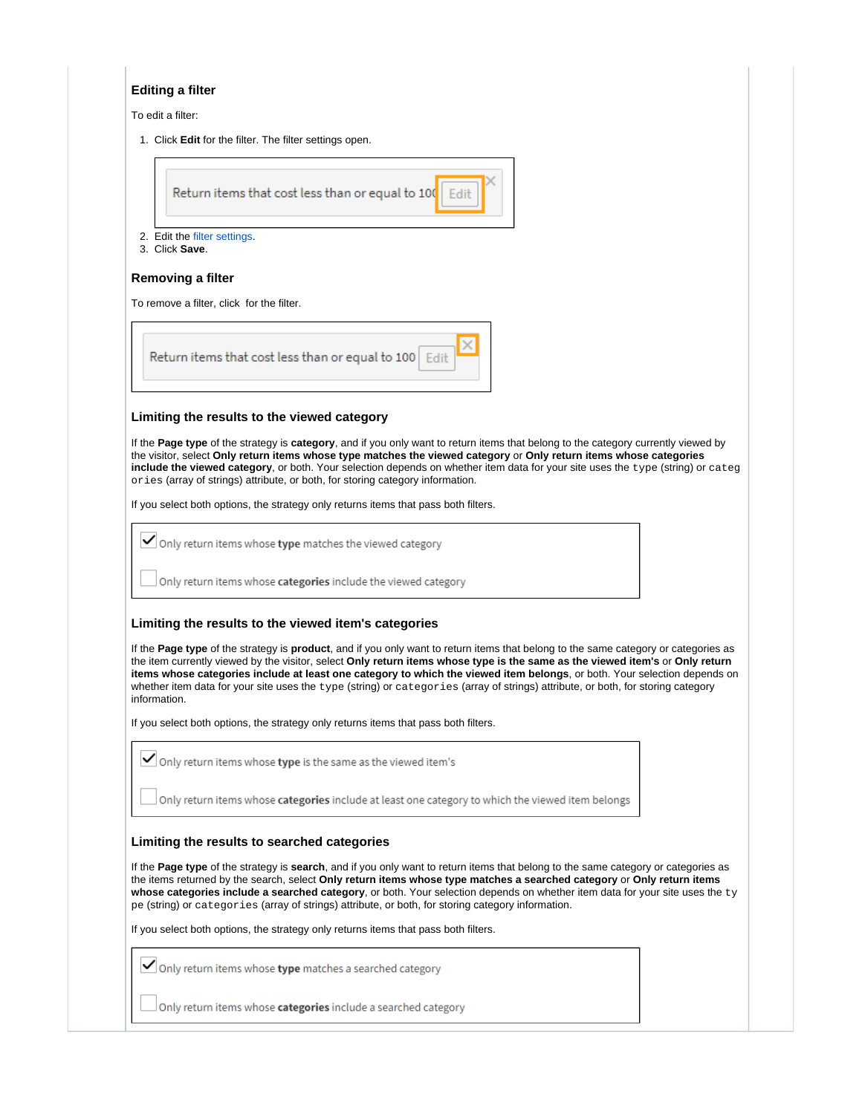#### **Editing a filter**

To edit a filter:

1. Click **Edit** for the filter. The filter settings open.

Return items that cost less than or equal to 100 Edit

- 2. Edit the [filter settings](#page-9-0).
- 3. Click **Save**.

#### **Removing a filter**

To remove a filter, click for the filter.

| Return items that cost less than or equal to 100 Edit |
|-------------------------------------------------------|
|-------------------------------------------------------|

#### **Limiting the results to the viewed category**

If the **Page type** of the strategy is **category**, and if you only want to return items that belong to the category currently viewed by the visitor, select **Only return items whose type matches the viewed category** or **Only return items whose categories include the viewed category**, or both. Your selection depends on whether item data for your site uses the type (string) or categ ories (array of strings) attribute, or both, for storing category information.

If you select both options, the strategy only returns items that pass both filters.

 $\checkmark$  Only return items whose type matches the viewed category

 $\Box$  Only return items whose categories include the viewed category

#### **Limiting the results to the viewed item's categories**

If the **Page type** of the strategy is **product**, and if you only want to return items that belong to the same category or categories as the item currently viewed by the visitor, select **Only return items whose type is the same as the viewed item's** or **Only return items whose categories include at least one category to which the viewed item belongs**, or both. Your selection depends on whether item data for your site uses the type (string) or categories (array of strings) attribute, or both, for storing category information.

If you select both options, the strategy only returns items that pass both filters.

|  |  |  |  |  |  |  |  |  |  |  | $\blacktriangleright$ Only return items whose type is the same as the viewed item's |  |  |
|--|--|--|--|--|--|--|--|--|--|--|-------------------------------------------------------------------------------------|--|--|
|--|--|--|--|--|--|--|--|--|--|--|-------------------------------------------------------------------------------------|--|--|

Only return items whose categories include at least one category to which the viewed item belongs

#### **Limiting the results to searched categories**

If the **Page type** of the strategy is **search**, and if you only want to return items that belong to the same category or categories as the items returned by the search, select **Only return items whose type matches a searched category** or **Only return items whose categories include a searched category**, or both. Your selection depends on whether item data for your site uses the ty pe (string) or categories (array of strings) attribute, or both, for storing category information.

If you select both options, the strategy only returns items that pass both filters.

Only return items whose **type** matches a searched category

 $\Box$  Only return items whose **categories** include a searched category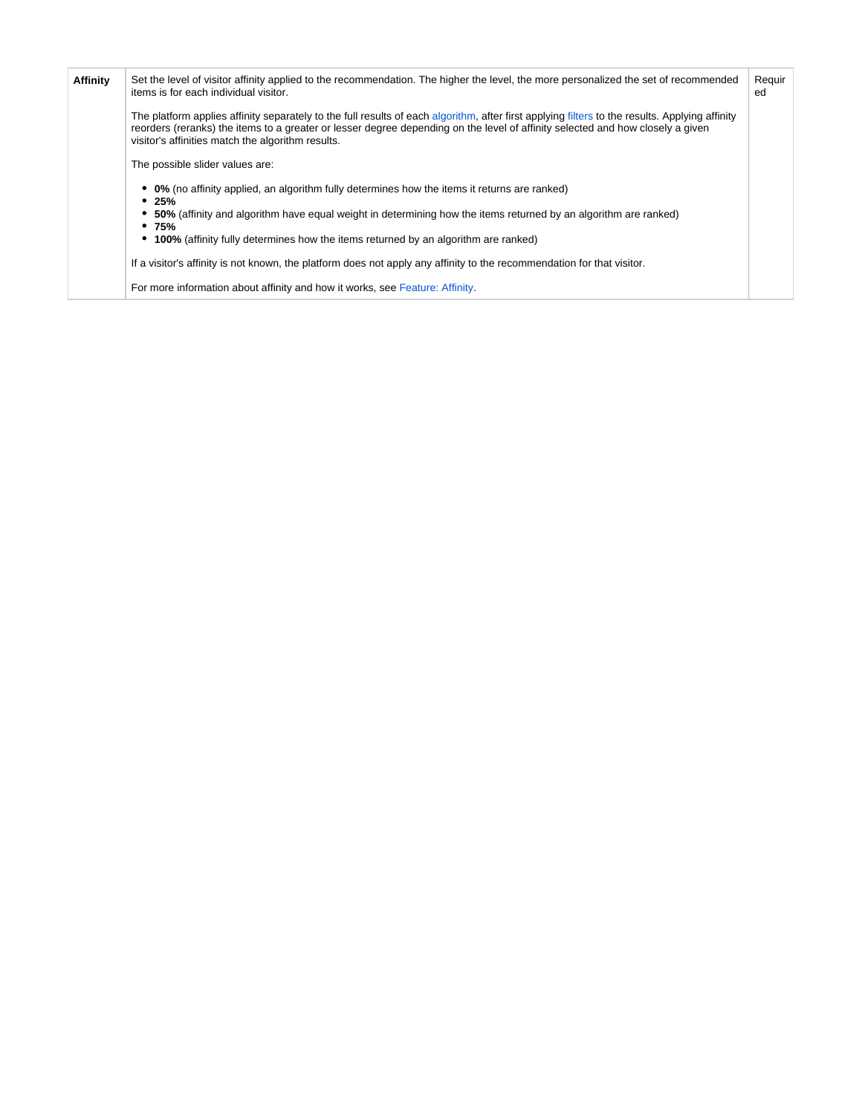<span id="page-6-0"></span>

| <b>Affinity</b> | Set the level of visitor affinity applied to the recommendation. The higher the level, the more personalized the set of recommended<br>items is for each individual visitor.                                                                                                                                                          | Requir<br>ed |  |  |
|-----------------|---------------------------------------------------------------------------------------------------------------------------------------------------------------------------------------------------------------------------------------------------------------------------------------------------------------------------------------|--------------|--|--|
|                 | The platform applies affinity separately to the full results of each algorithm, after first applying filters to the results. Applying affinity<br>reorders (reranks) the items to a greater or lesser degree depending on the level of affinity selected and how closely a given<br>visitor's affinities match the algorithm results. |              |  |  |
|                 | The possible slider values are:                                                                                                                                                                                                                                                                                                       |              |  |  |
|                 | • 0% (no affinity applied, an algorithm fully determines how the items it returns are ranked)<br>• 25%                                                                                                                                                                                                                                |              |  |  |
|                 | • 50% (affinity and algorithm have equal weight in determining how the items returned by an algorithm are ranked)<br>•75%                                                                                                                                                                                                             |              |  |  |
|                 | • 100% (affinity fully determines how the items returned by an algorithm are ranked)                                                                                                                                                                                                                                                  |              |  |  |
|                 | If a visitor's affinity is not known, the platform does not apply any affinity to the recommendation for that visitor.                                                                                                                                                                                                                |              |  |  |
|                 | For more information about affinity and how it works, see Feature: Affinity.                                                                                                                                                                                                                                                          |              |  |  |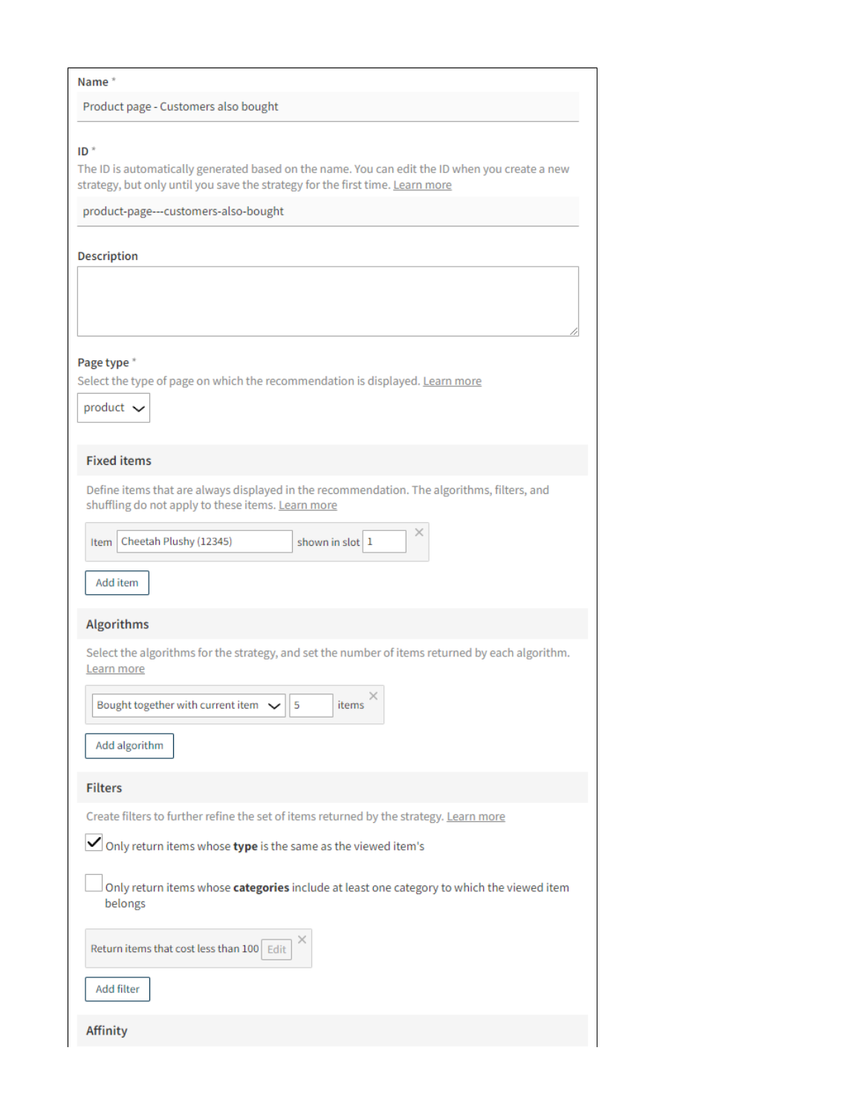#### Name\*

Affinity

Product page - Customers also bought

| $ID^*$                                                                                                                                                                          |
|---------------------------------------------------------------------------------------------------------------------------------------------------------------------------------|
| The ID is automatically generated based on the name. You can edit the ID when you create a new<br>strategy, but only until you save the strategy for the first time. Learn more |
| product-page---customers-also-bought                                                                                                                                            |
|                                                                                                                                                                                 |
| Description                                                                                                                                                                     |
|                                                                                                                                                                                 |
|                                                                                                                                                                                 |
|                                                                                                                                                                                 |
|                                                                                                                                                                                 |
|                                                                                                                                                                                 |
| Page type *                                                                                                                                                                     |
| Select the type of page on which the recommendation is displayed. Learn more                                                                                                    |
|                                                                                                                                                                                 |
| product $\sim$                                                                                                                                                                  |
|                                                                                                                                                                                 |
|                                                                                                                                                                                 |
| <b>Fixed items</b>                                                                                                                                                              |
| Define items that are always displayed in the recommendation. The algorithms, filters, and                                                                                      |
| shuffling do not apply to these items. Learn more                                                                                                                               |
|                                                                                                                                                                                 |
| ×<br>Cheetah Plushy (12345)<br>shown in slot 1<br>Item                                                                                                                          |
|                                                                                                                                                                                 |
|                                                                                                                                                                                 |
| Add item                                                                                                                                                                        |
|                                                                                                                                                                                 |
| Algorithms                                                                                                                                                                      |
| Select the algorithms for the strategy, and set the number of items returned by each algorithm.                                                                                 |
| Learn more                                                                                                                                                                      |
|                                                                                                                                                                                 |
| Bought together with current item $\sqrt{}$<br>5<br>items                                                                                                                       |
|                                                                                                                                                                                 |
|                                                                                                                                                                                 |
| Add algorithm                                                                                                                                                                   |
|                                                                                                                                                                                 |
| <b>Filters</b>                                                                                                                                                                  |
| Create filters to further refine the set of items returned by the strategy. Learn more                                                                                          |
|                                                                                                                                                                                 |
| Only return items whose type is the same as the viewed item's                                                                                                                   |
|                                                                                                                                                                                 |
| Only return items whose categories include at least one category to which the viewed item                                                                                       |
| belongs                                                                                                                                                                         |
|                                                                                                                                                                                 |
| $\times$<br>Return items that cost less than 100 Edit                                                                                                                           |
|                                                                                                                                                                                 |
|                                                                                                                                                                                 |
| Add filter                                                                                                                                                                      |
|                                                                                                                                                                                 |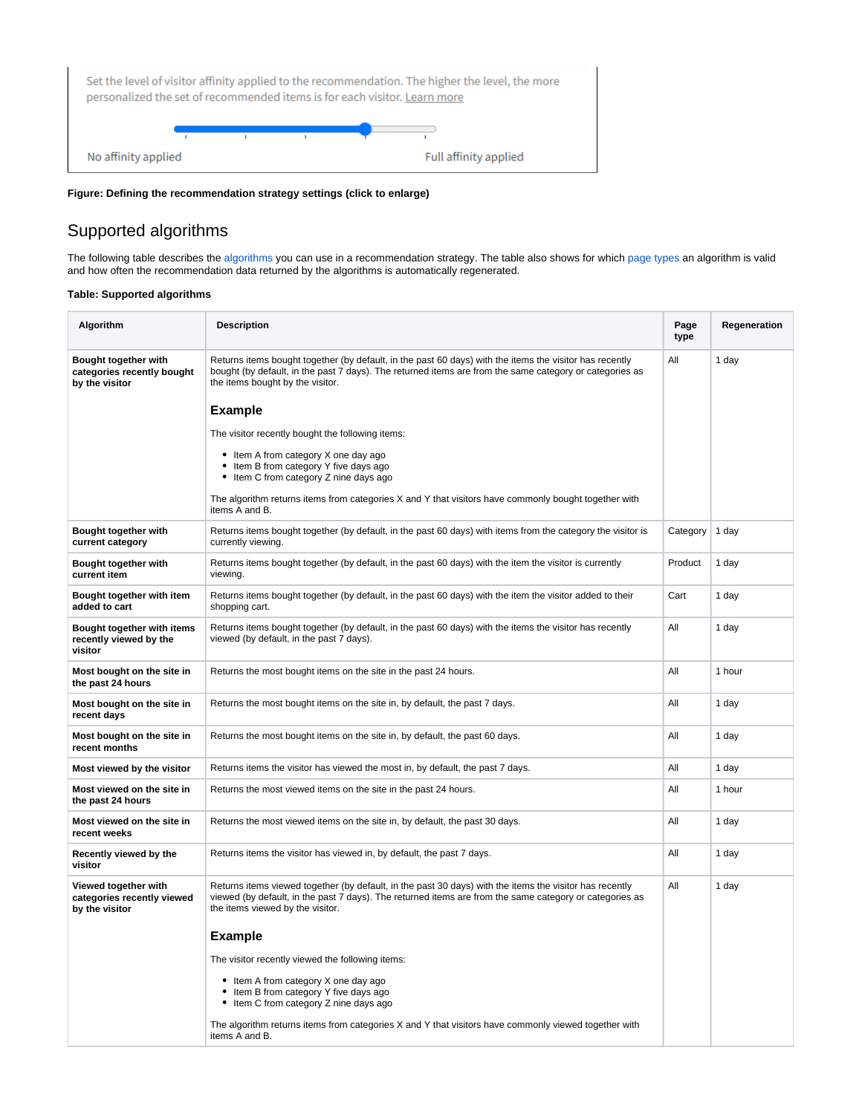

**Figure: Defining the recommendation strategy settings (click to enlarge)**

# <span id="page-8-0"></span>Supported algorithms

The following table describes the [algorithms](#page-4-0) you can use in a recommendation strategy. The table also shows for which [page types](#page-3-1) an algorithm is valid and how often the recommendation data returned by the algorithms is automatically regenerated.

#### **Table: Supported algorithms**

| Algorithm                                                            | <b>Description</b>                                                                                                                                                                                                                                     | Page<br>type | Regeneration |
|----------------------------------------------------------------------|--------------------------------------------------------------------------------------------------------------------------------------------------------------------------------------------------------------------------------------------------------|--------------|--------------|
| Bought together with<br>categories recently bought<br>by the visitor | Returns items bought together (by default, in the past 60 days) with the items the visitor has recently<br>bought (by default, in the past 7 days). The returned items are from the same category or categories as<br>the items bought by the visitor. | All          | 1 day        |
|                                                                      | <b>Example</b>                                                                                                                                                                                                                                         |              |              |
|                                                                      | The visitor recently bought the following items:                                                                                                                                                                                                       |              |              |
|                                                                      | • Item A from category X one day ago<br>• Item B from category Y five days ago<br>• Item C from category Z nine days ago                                                                                                                               |              |              |
|                                                                      | The algorithm returns items from categories X and Y that visitors have commonly bought together with<br>items A and B.                                                                                                                                 |              |              |
| Bought together with<br>current category                             | Returns items bought together (by default, in the past 60 days) with items from the category the visitor is<br>currently viewing.                                                                                                                      | Category     | 1 day        |
| Bought together with<br>current item                                 | Returns items bought together (by default, in the past 60 days) with the item the visitor is currently<br>viewing.                                                                                                                                     | Product      | 1 day        |
| Bought together with item<br>added to cart                           | Returns items bought together (by default, in the past 60 days) with the item the visitor added to their<br>shopping cart.                                                                                                                             | Cart         | 1 day        |
| Bought together with items<br>recently viewed by the<br>visitor      | Returns items bought together (by default, in the past 60 days) with the items the visitor has recently<br>viewed (by default, in the past 7 days).                                                                                                    | All          | 1 day        |
| Most bought on the site in<br>the past 24 hours                      | Returns the most bought items on the site in the past 24 hours.                                                                                                                                                                                        | All          | 1 hour       |
| Most bought on the site in<br>recent days                            | Returns the most bought items on the site in, by default, the past 7 days.                                                                                                                                                                             | All          | 1 day        |
| Most bought on the site in<br>recent months                          | Returns the most bought items on the site in, by default, the past 60 days.                                                                                                                                                                            | All          | 1 day        |
| Most viewed by the visitor                                           | Returns items the visitor has viewed the most in, by default, the past 7 days.                                                                                                                                                                         | All          | 1 day        |
| Most viewed on the site in<br>the past 24 hours                      | Returns the most viewed items on the site in the past 24 hours.                                                                                                                                                                                        | All          | 1 hour       |
| Most viewed on the site in<br>recent weeks                           | Returns the most viewed items on the site in, by default, the past 30 days.                                                                                                                                                                            | All          | 1 day        |
| Recently viewed by the<br>visitor                                    | Returns items the visitor has viewed in, by default, the past 7 days.                                                                                                                                                                                  | All          | 1 day        |
| Viewed together with<br>categories recently viewed<br>by the visitor | Returns items viewed together (by default, in the past 30 days) with the items the visitor has recently<br>viewed (by default, in the past 7 days). The returned items are from the same category or categories as<br>the items viewed by the visitor. | All          | 1 day        |
|                                                                      | <b>Example</b>                                                                                                                                                                                                                                         |              |              |
|                                                                      | The visitor recently viewed the following items:                                                                                                                                                                                                       |              |              |
|                                                                      | • Item A from category X one day ago<br>• Item B from category Y five days ago<br>• Item C from category Z nine days ago                                                                                                                               |              |              |
|                                                                      | The algorithm returns items from categories X and Y that visitors have commonly viewed together with<br>items A and B.                                                                                                                                 |              |              |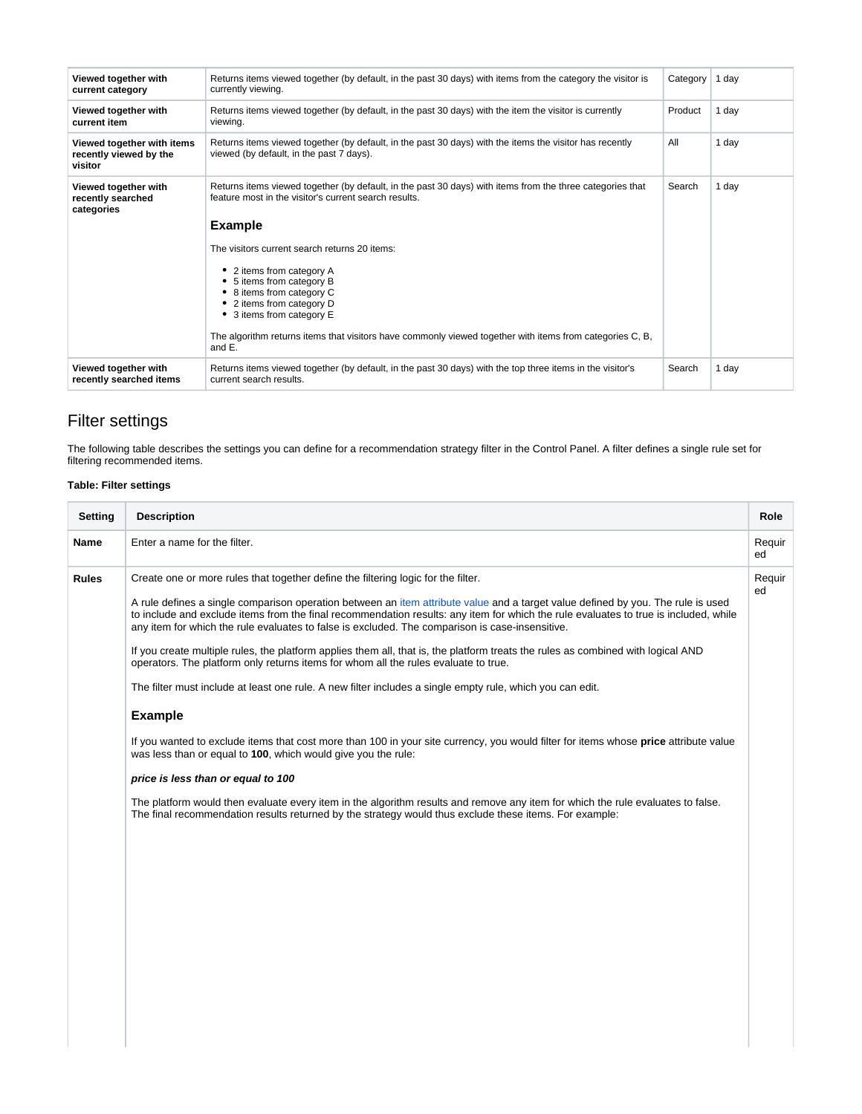| Viewed together with<br>current category                        | Returns items viewed together (by default, in the past 30 days) with items from the category the visitor is<br>currently viewing.                                  | Category | 1 dav |
|-----------------------------------------------------------------|--------------------------------------------------------------------------------------------------------------------------------------------------------------------|----------|-------|
| Viewed together with<br>current item                            | Returns items viewed together (by default, in the past 30 days) with the item the visitor is currently<br>viewing.                                                 | Product  | 1 dav |
| Viewed together with items<br>recently viewed by the<br>visitor | Returns items viewed together (by default, in the past 30 days) with the items the visitor has recently<br>viewed (by default, in the past 7 days).                | All      | 1 dav |
| Viewed together with<br>recently searched<br>categories         | Returns items viewed together (by default, in the past 30 days) with items from the three categories that<br>feature most in the visitor's current search results. | Search   | 1 day |
|                                                                 | <b>Example</b>                                                                                                                                                     |          |       |
|                                                                 | The visitors current search returns 20 items:                                                                                                                      |          |       |
|                                                                 | 2 items from category A<br>• 5 items from category B<br>• 8 items from category C<br>• 2 items from category D<br>• 3 items from category E                        |          |       |
|                                                                 | The algorithm returns items that visitors have commonly viewed together with items from categories C, B,<br>and E.                                                 |          |       |
| Viewed together with<br>recently searched items                 | Returns items viewed together (by default, in the past 30 days) with the top three items in the visitor's<br>current search results.                               | Search   | 1 day |

# <span id="page-9-0"></span>Filter settings

The following table describes the settings you can define for a recommendation strategy filter in the Control Panel. A filter defines a single rule set for filtering recommended items.

## **Table: Filter settings**

| <b>Setting</b> | <b>Description</b>                                                                                                                                                                                                                                                                                                                                                                                                                                                                                                                                                                                                                                                                                                                                                                                                                                                                                                                                                                                                                                                                                                                                                                                                                                                                                                     | Role         |
|----------------|------------------------------------------------------------------------------------------------------------------------------------------------------------------------------------------------------------------------------------------------------------------------------------------------------------------------------------------------------------------------------------------------------------------------------------------------------------------------------------------------------------------------------------------------------------------------------------------------------------------------------------------------------------------------------------------------------------------------------------------------------------------------------------------------------------------------------------------------------------------------------------------------------------------------------------------------------------------------------------------------------------------------------------------------------------------------------------------------------------------------------------------------------------------------------------------------------------------------------------------------------------------------------------------------------------------------|--------------|
| <b>Name</b>    | Enter a name for the filter.                                                                                                                                                                                                                                                                                                                                                                                                                                                                                                                                                                                                                                                                                                                                                                                                                                                                                                                                                                                                                                                                                                                                                                                                                                                                                           | Requir<br>ed |
| <b>Rules</b>   | Create one or more rules that together define the filtering logic for the filter.<br>A rule defines a single comparison operation between an item attribute value and a target value defined by you. The rule is used<br>to include and exclude items from the final recommendation results: any item for which the rule evaluates to true is included, while<br>any item for which the rule evaluates to false is excluded. The comparison is case-insensitive.<br>If you create multiple rules, the platform applies them all, that is, the platform treats the rules as combined with logical AND<br>operators. The platform only returns items for whom all the rules evaluate to true.<br>The filter must include at least one rule. A new filter includes a single empty rule, which you can edit.<br><b>Example</b><br>If you wanted to exclude items that cost more than 100 in your site currency, you would filter for items whose price attribute value<br>was less than or equal to 100, which would give you the rule:<br>price is less than or equal to 100<br>The platform would then evaluate every item in the algorithm results and remove any item for which the rule evaluates to false.<br>The final recommendation results returned by the strategy would thus exclude these items. For example: | Requir<br>ed |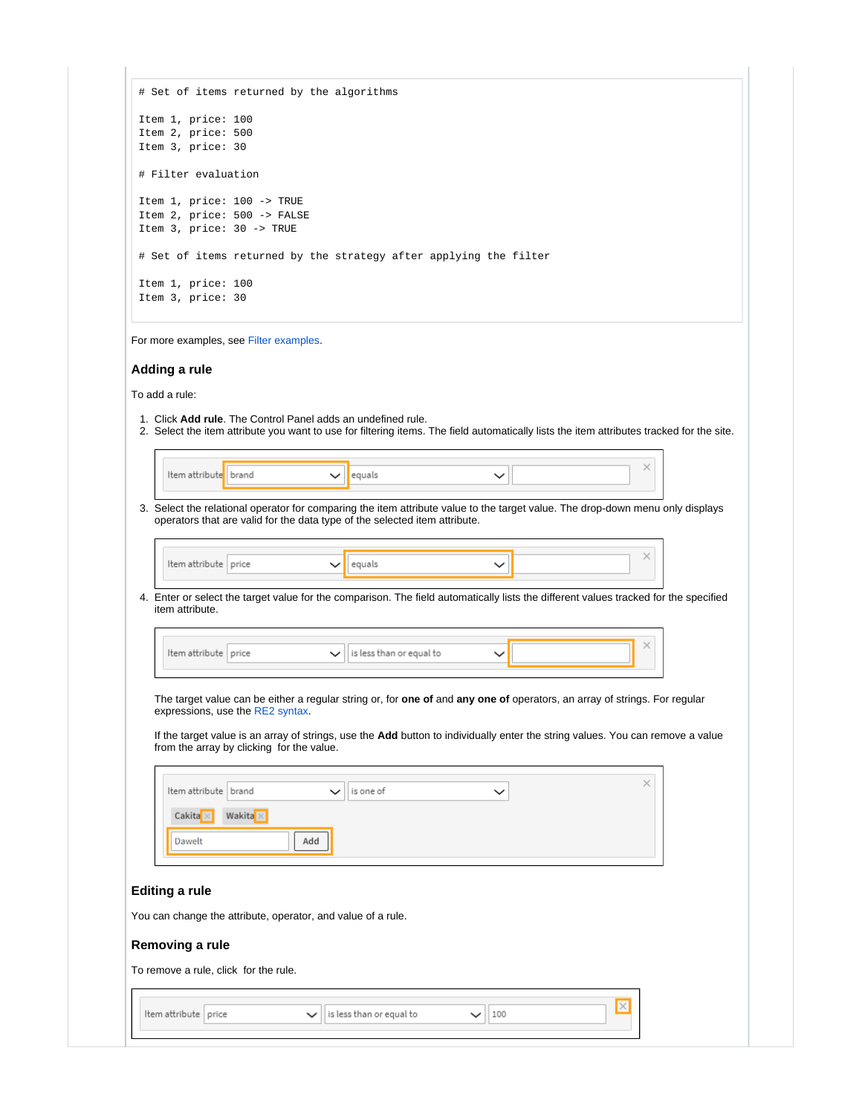|                                       | # Set of items returned by the algorithms                                     |                                                                                                                                                                                                                                                                           |             |              |  |
|---------------------------------------|-------------------------------------------------------------------------------|---------------------------------------------------------------------------------------------------------------------------------------------------------------------------------------------------------------------------------------------------------------------------|-------------|--------------|--|
| Item 1, price: 100                    |                                                                               |                                                                                                                                                                                                                                                                           |             |              |  |
| Item 2, price: 500                    |                                                                               |                                                                                                                                                                                                                                                                           |             |              |  |
| Item 3, price: 30                     |                                                                               |                                                                                                                                                                                                                                                                           |             |              |  |
|                                       |                                                                               |                                                                                                                                                                                                                                                                           |             |              |  |
| # Filter evaluation                   |                                                                               |                                                                                                                                                                                                                                                                           |             |              |  |
|                                       | Item 1, price: 100 -> TRUE                                                    |                                                                                                                                                                                                                                                                           |             |              |  |
|                                       | Item 2, price: 500 -> FALSE                                                   |                                                                                                                                                                                                                                                                           |             |              |  |
| Item 3, price: 30 -> TRUE             |                                                                               |                                                                                                                                                                                                                                                                           |             |              |  |
|                                       |                                                                               |                                                                                                                                                                                                                                                                           |             |              |  |
|                                       |                                                                               | # Set of items returned by the strategy after applying the filter                                                                                                                                                                                                         |             |              |  |
| Item 1, price: 100                    |                                                                               |                                                                                                                                                                                                                                                                           |             |              |  |
| Item 3, price: 30                     |                                                                               |                                                                                                                                                                                                                                                                           |             |              |  |
| Adding a rule<br>To add a rule:       | For more examples, see Filter examples.                                       |                                                                                                                                                                                                                                                                           |             |              |  |
|                                       |                                                                               | 1. Click Add rule. The Control Panel adds an undefined rule.<br>2. Select the item attribute you want to use for filtering items. The field automatically lists the item attributes tracked for the site.                                                                 |             |              |  |
|                                       |                                                                               |                                                                                                                                                                                                                                                                           |             |              |  |
| Item attribute   brand                |                                                                               | equals                                                                                                                                                                                                                                                                    | $\check{ }$ | $\times$     |  |
|                                       |                                                                               |                                                                                                                                                                                                                                                                           |             |              |  |
| Item attribute price                  |                                                                               | operators that are valid for the data type of the selected item attribute.                                                                                                                                                                                                |             | $\times$     |  |
|                                       |                                                                               | equals                                                                                                                                                                                                                                                                    | $\check{ }$ |              |  |
| item attribute.                       |                                                                               | 4. Enter or select the target value for the comparison. The field automatically lists the different values tracked for the specified                                                                                                                                      |             |              |  |
|                                       |                                                                               |                                                                                                                                                                                                                                                                           |             |              |  |
| Item attribute price                  |                                                                               | is less than or equal to<br>$\check{ }$                                                                                                                                                                                                                                   |             |              |  |
|                                       |                                                                               |                                                                                                                                                                                                                                                                           |             |              |  |
|                                       | expressions, use the RE2 syntax.<br>from the array by clicking for the value. | The target value can be either a regular string or, for <b>one of</b> and <b>any one of</b> operators, an array of strings. For regular<br>If the target value is an array of strings, use the Add button to individually enter the string values. You can remove a value |             |              |  |
|                                       |                                                                               |                                                                                                                                                                                                                                                                           |             | ×            |  |
| Item attribute   brand                |                                                                               | is one of                                                                                                                                                                                                                                                                 | $\check{ }$ |              |  |
| Cakita ×                              | Wakita $\times$                                                               |                                                                                                                                                                                                                                                                           |             |              |  |
|                                       |                                                                               |                                                                                                                                                                                                                                                                           |             |              |  |
| Dawelt                                | Add                                                                           |                                                                                                                                                                                                                                                                           |             |              |  |
|                                       |                                                                               |                                                                                                                                                                                                                                                                           |             |              |  |
|                                       |                                                                               |                                                                                                                                                                                                                                                                           |             |              |  |
| <b>Editing a rule</b>                 |                                                                               |                                                                                                                                                                                                                                                                           |             |              |  |
|                                       |                                                                               |                                                                                                                                                                                                                                                                           |             |              |  |
|                                       | You can change the attribute, operator, and value of a rule.                  |                                                                                                                                                                                                                                                                           |             |              |  |
| Removing a rule                       |                                                                               |                                                                                                                                                                                                                                                                           |             |              |  |
|                                       |                                                                               |                                                                                                                                                                                                                                                                           |             |              |  |
| To remove a rule, click for the rule. |                                                                               |                                                                                                                                                                                                                                                                           |             |              |  |
|                                       |                                                                               |                                                                                                                                                                                                                                                                           |             |              |  |
| Item attribute   price                |                                                                               | is less than or equal to                                                                                                                                                                                                                                                  | 100         | $\mathbb{X}$ |  |
|                                       |                                                                               |                                                                                                                                                                                                                                                                           |             |              |  |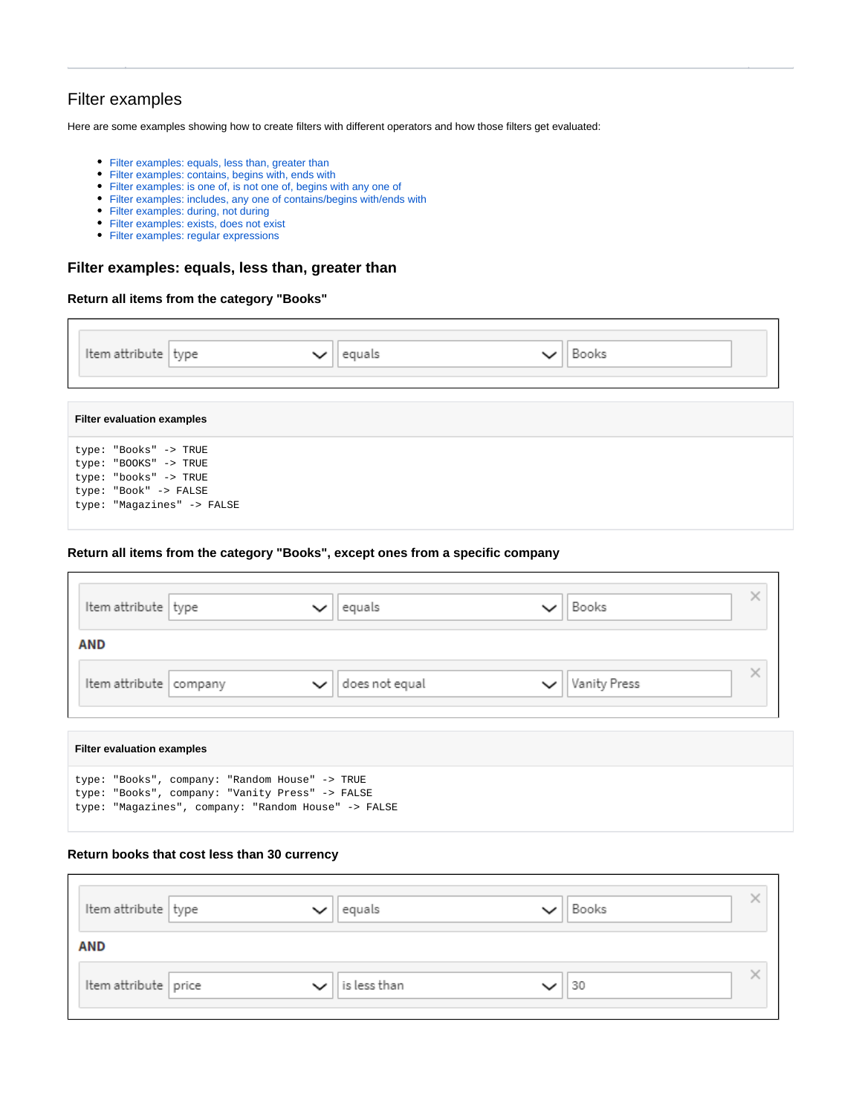## <span id="page-11-0"></span>Filter examples

Here are some examples showing how to create filters with different operators and how those filters get evaluated:

- [Filter examples: equals, less than, greater than](#page-11-1)
- [Filter examples: contains, begins with, ends with](#page-12-0)
- [Filter examples: is one of, is not one of, begins with any one of](#page-13-0)
- [Filter examples: includes, any one of contains/begins with/ends with](#page-14-0)
- [Filter examples: during, not during](#page-15-0)
- [Filter examples: exists, does not exist](#page-16-0)
- [Filter examples: regular expressions](#page-16-1)

## <span id="page-11-1"></span>**Filter examples: equals, less than, greater than**

#### **Return all items from the category "Books"**

| Item attribute type                                                                                                            | equals | Books |  |
|--------------------------------------------------------------------------------------------------------------------------------|--------|-------|--|
| <b>Filter evaluation examples</b>                                                                                              |        |       |  |
| type: "Books" -> TRUE<br>type: "BOOKS" -> TRUE<br>type: "books" -> TRUE<br>type: "Book" -> FALSE<br>type: "Magazines" -> FALSE |        |       |  |

## **Return all items from the category "Books", except ones from a specific company**

| Item attribute type      |  | equals         | Books        |
|--------------------------|--|----------------|--------------|
| <b>AND</b>               |  |                |              |
| Item attribute   company |  | does not equal | Vanity Press |

#### **Filter evaluation examples**

 $\mathsf{r}$ 

| type: "Books", company: "Random House" -> TRUE      |  |  |  |
|-----------------------------------------------------|--|--|--|
| type: "Books", company: "Vanity Press" -> FALSE     |  |  |  |
| type: "Magazines", company: "Random House" -> FALSE |  |  |  |

#### **Return books that cost less than 30 currency**

| Item attribute   type |              | equals       | Books |  |
|-----------------------|--------------|--------------|-------|--|
| <b>AND</b>            |              |              |       |  |
| Item attribute price  | $\checkmark$ | is less than | 30    |  |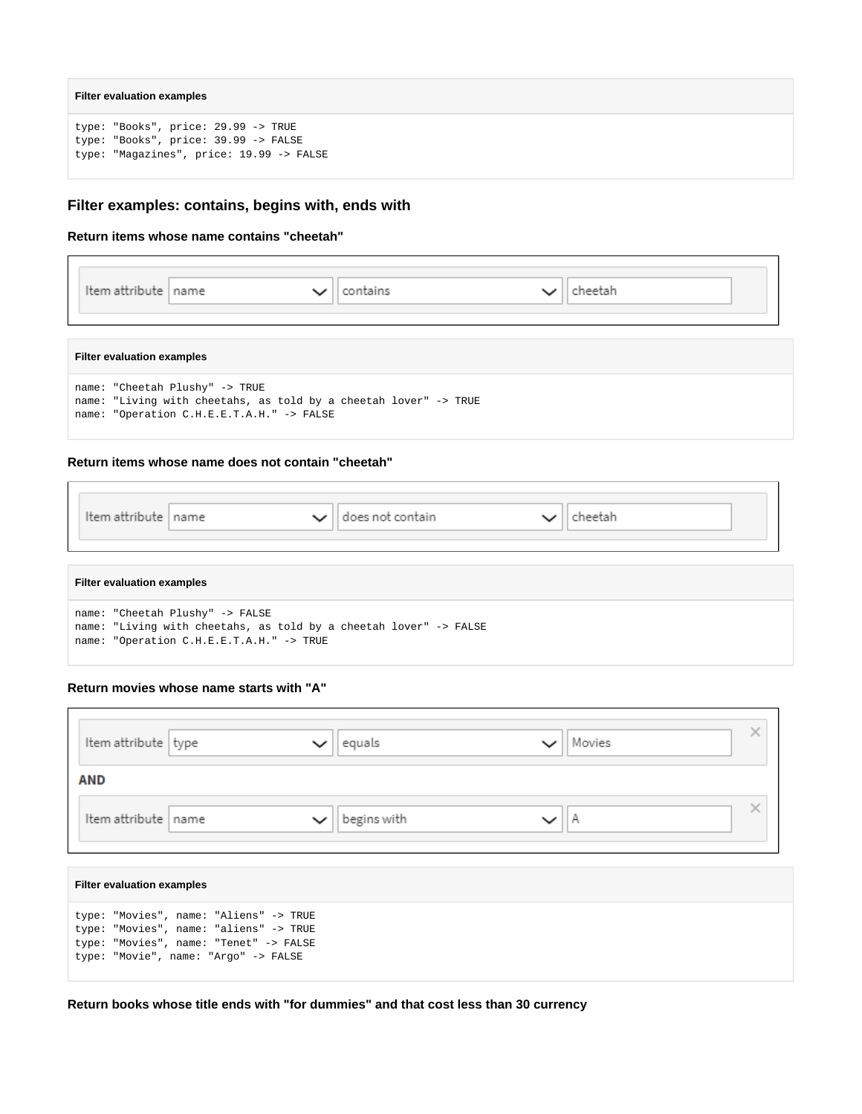#### **Filter evaluation examples**

 $\Gamma$ 

 $\mathbf{r}$ 

 $\Gamma$ 

```
type: "Books", price: 29.99 -> TRUE
type: "Books", price: 39.99 -> FALSE
type: "Magazines", price: 19.99 -> FALSE
```
## <span id="page-12-0"></span>**Filter examples: contains, begins with, ends with**

### **Return items whose name contains "cheetah"**

| Item attribute   name      |  | contains | :heetah |  |
|----------------------------|--|----------|---------|--|
|                            |  |          |         |  |
| Filter evaluation examples |  |          |         |  |

٦

| name: "Cheetah Plushy" -> TRUE                                   |
|------------------------------------------------------------------|
| name: "Living with cheetahs, as told by a cheetah lover" -> TRUE |
| name: "Operation C.H.E.E.T.A.H." -> FALSE                        |

#### **Return items whose name does not contain "cheetah"**

| Item attribute   name | ╰ | does not contain | าeetah |
|-----------------------|---|------------------|--------|
|                       |   |                  |        |

#### **Filter evaluation examples**

| name: "Cheetah Plushy" -> FALSE                                   |
|-------------------------------------------------------------------|
| name: "Living with cheetahs, as told by a cheetah lover" -> FALSE |
| name: "Operation C.H.E.E.T.A.H." -> TRUE                          |

## **Return movies whose name starts with "A"**

| Item attribute   type | equals      | Movies |  |
|-----------------------|-------------|--------|--|
| <b>AND</b>            |             |        |  |
| Item attribute name   | begins with | н      |  |

| <b>Filter evaluation examples</b>                                                                                                                                  |
|--------------------------------------------------------------------------------------------------------------------------------------------------------------------|
| type: "Movies", name: "Aliens" -> TRUE<br>type: "Movies", name: "aliens" -> TRUE<br>type: "Movies", name: "Tenet" -> FALSE<br>type: "Movie", name: "Argo" -> FALSE |

**Return books whose title ends with "for dummies" and that cost less than 30 currency**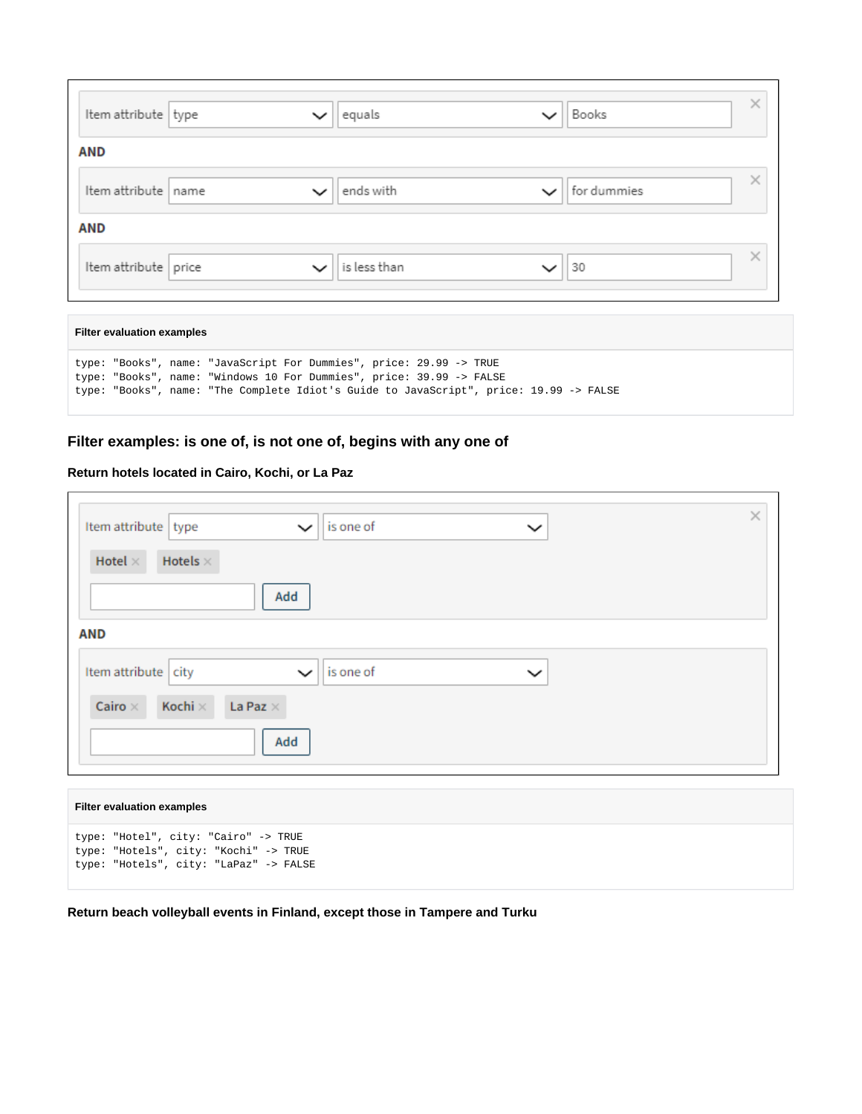| Item attribute type  | $\checkmark$ | equals       | Books       |   |
|----------------------|--------------|--------------|-------------|---|
| AND                  |              |              |             |   |
| Item attribute name  | $\checkmark$ | ends with    | for dummies |   |
| <b>AND</b>           |              |              |             |   |
| Item attribute price | $\checkmark$ | is less than | 30          | × |

| <b>Filter evaluation examples</b>                                                                                                                                                                                                     |  |
|---------------------------------------------------------------------------------------------------------------------------------------------------------------------------------------------------------------------------------------|--|
| type: "Books", name: "JavaScript For Dummies", price: 29.99 -> TRUE<br>type: "Books", name: "Windows 10 For Dummies", price: 39.99 -> FALSE<br>type: "Books", name: "The Complete Idiot's Guide to JavaScript", price: 19.99 -> FALSE |  |

# <span id="page-13-0"></span>**Filter examples: is one of, is not one of, begins with any one of**

## **Return hotels located in Cairo, Kochi, or La Paz**

 $\overline{\Gamma}$ 

| Hotels $\times$<br>Hotel $\times$<br>Add<br><b>AND</b><br>Item attribute<br>is one of<br>city<br>$\check{ }$<br>$\check{ }$<br>Kochi $\times$<br>La Paz $\times$<br>Cairo $\times$ | Item attribute   type | is one of<br>$\check{ }$ | $\times$<br>$\check{ }$ |
|------------------------------------------------------------------------------------------------------------------------------------------------------------------------------------|-----------------------|--------------------------|-------------------------|
|                                                                                                                                                                                    |                       |                          |                         |
|                                                                                                                                                                                    |                       |                          |                         |
|                                                                                                                                                                                    |                       |                          |                         |
| Add                                                                                                                                                                                |                       |                          |                         |

| <b>Filter evaluation examples</b>                                                                                       |
|-------------------------------------------------------------------------------------------------------------------------|
| type: "Hotel", city: "Cairo" -> TRUE<br>type: "Hotels", city: "Kochi" -> TRUE<br>type: "Hotels", city: "LaPaz" -> FALSE |

**Return beach volleyball events in Finland, except those in Tampere and Turku**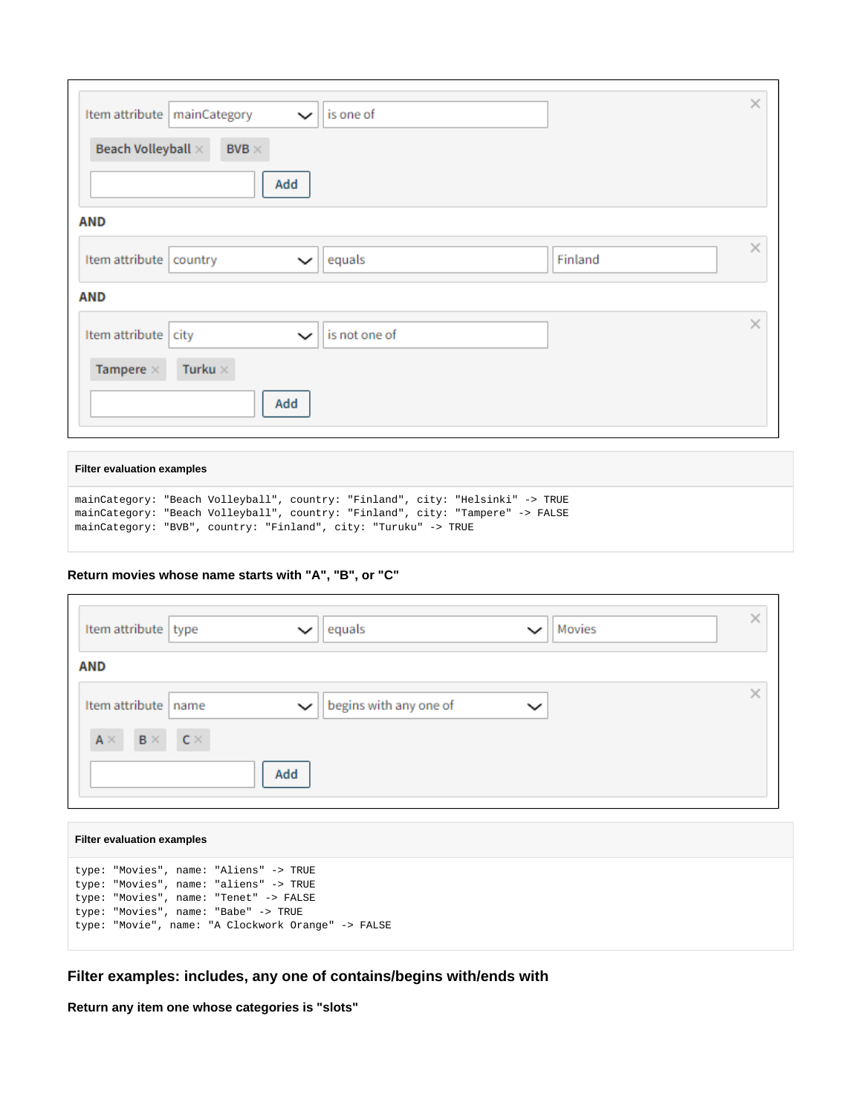| Item attribute   mainCategory<br>is one of<br>$\check{ }$<br>Beach Volleyball ×<br>BVB $\times$<br>Add | $\times$ |
|--------------------------------------------------------------------------------------------------------|----------|
| <b>AND</b>                                                                                             |          |
| Finland<br>Item attribute<br>equals<br>country<br>$\check{ }$                                          | $\times$ |
| <b>AND</b>                                                                                             |          |
| is not one of<br>Item attribute<br>city<br>$\check{ }$                                                 | $\times$ |
| Turku $\times$<br>Tampere $\times$                                                                     |          |
| Add                                                                                                    |          |

#### **Filter evaluation examples**

| mainCategory: "Beach Volleyball", country: "Finland", city: "Helsinki" -> TRUE |  |  |  |  |
|--------------------------------------------------------------------------------|--|--|--|--|
| mainCategory: "Beach Volleyball", country: "Finland", city: "Tampere" -> FALSE |  |  |  |  |
| mainCategory: "BVB", country: "Finland", city: "Turuku" -> TRUE                |  |  |  |  |

## **Return movies whose name starts with "A", "B", or "C"**

| Item attribute   type               | equals<br>$\check{ }$                 | Movies<br>$\check{ }$ | × |
|-------------------------------------|---------------------------------------|-----------------------|---|
| AND                                 |                                       |                       |   |
| Item attribute name                 | begins with any one of<br>$\check{ }$ | $\check{ }$           |   |
| $B \times C \times C$<br>$A \times$ |                                       |                       |   |
|                                     | Add                                   |                       |   |

### **Filter evaluation examples**

```
type: "Movies", name: "Aliens" -> TRUE
type: "Movies", name: "aliens" -> TRUE
type: "Movies", name: "Tenet" -> FALSE
type: "Movies", name: "Babe" -> TRUE
type: "Movie", name: "A Clockwork Orange" -> FALSE
```
## <span id="page-14-0"></span>**Filter examples: includes, any one of contains/begins with/ends with**

**Return any item one whose categories is "slots"**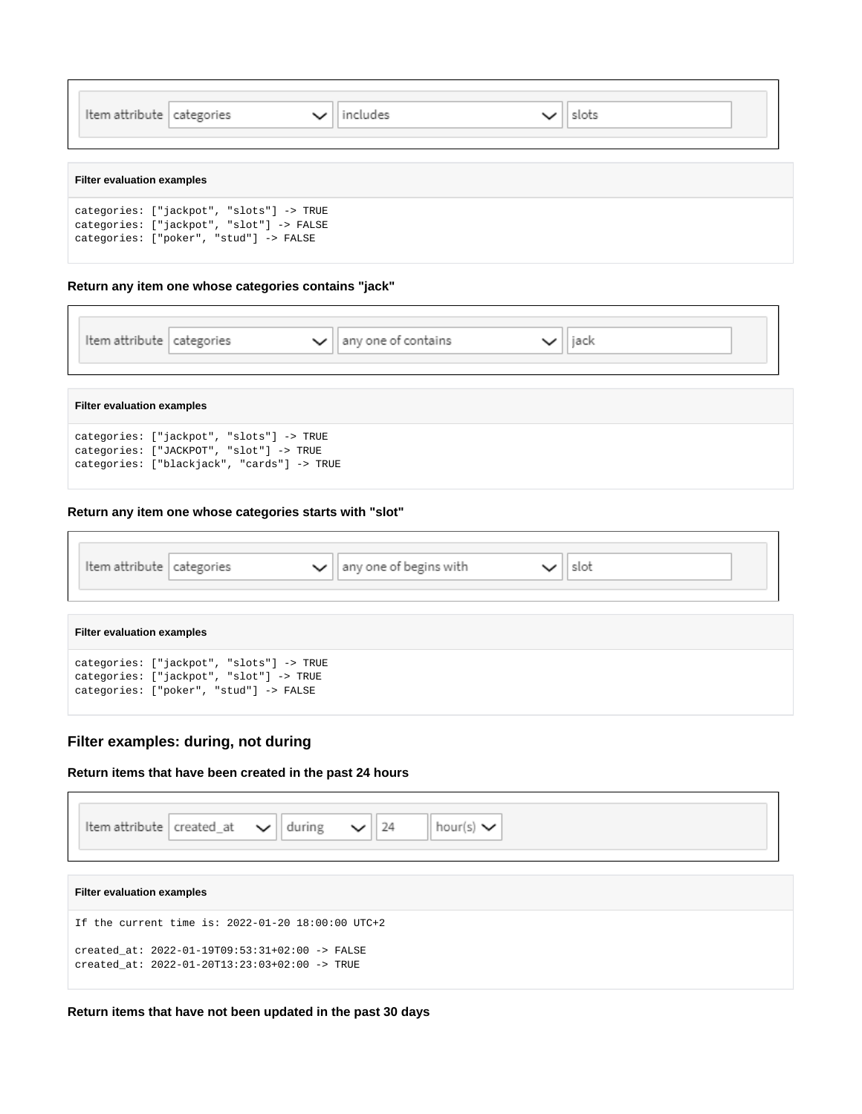| Item attribute   categories       |                                                                                                                                | includes | slots |  |
|-----------------------------------|--------------------------------------------------------------------------------------------------------------------------------|----------|-------|--|
| <b>Filter evaluation examples</b> |                                                                                                                                |          |       |  |
|                                   | categories: ["jackpot", "slots"] -> TRUE<br>categories: ["jackpot", "slot"] -> FALSE<br>categories: ["poker", "stud"] -> FALSE |          |       |  |

٦

## **Return any item one whose categories contains "jack"**

| Item attribute   categories |  | any one of contains |  |  |
|-----------------------------|--|---------------------|--|--|
|                             |  |                     |  |  |

#### **Filter evaluation examples**

Г

categories: ["jackpot", "slots"] -> TRUE categories: ["JACKPOT", "slot"] -> TRUE categories: ["blackjack", "cards"] -> TRUE

## **Return any item one whose categories starts with "slot"**

Item attribute categories any one of begins with slot  $\checkmark$  $\check{ }$ **Filter evaluation examples** categories: ["jackpot", "slots"] -> TRUE

|  | Categories: ["jackpot", "siots"] -> TRUE |
|--|------------------------------------------|
|  | categories: ["jackpot", "slot"] -> TRUE  |
|  | categories: ["poker", "stud"] -> FALSE   |
|  |                                          |

## <span id="page-15-0"></span>**Filter examples: during, not during**

## **Return items that have been created in the past 24 hours**

| <b>If the attribute</b> created_at $\sim$ during $\sim$ 24    hour(s) $\sim$ |
|------------------------------------------------------------------------------|

| <b>Filter evaluation examples</b>                                                               |
|-------------------------------------------------------------------------------------------------|
| If the current time is: $2022 - 01 - 20$ 18:00:00 UTC+2                                         |
| created at: 2022-01-19T09:53:31+02:00 -> FALSE<br>created at: 2022-01-20T13:23:03+02:00 -> TRUE |

## **Return items that have not been updated in the past 30 days**